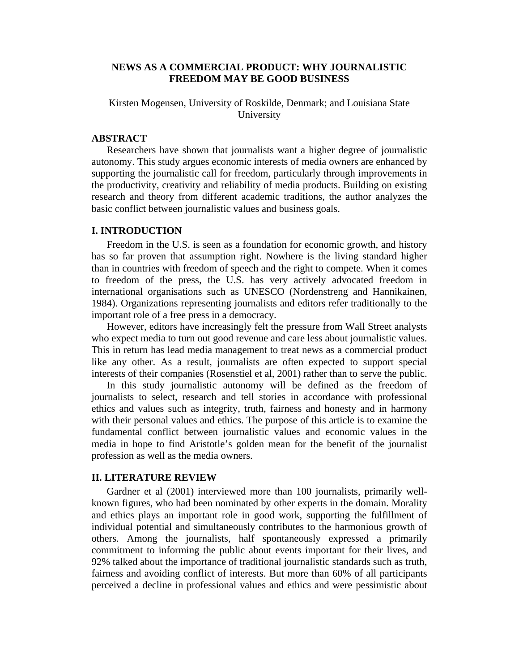# **NEWS AS A COMMERCIAL PRODUCT: WHY JOURNALISTIC FREEDOM MAY BE GOOD BUSINESS**

Kirsten Mogensen, University of Roskilde, Denmark; and Louisiana State University

## **ABSTRACT**

Researchers have shown that journalists want a higher degree of journalistic autonomy. This study argues economic interests of media owners are enhanced by supporting the journalistic call for freedom, particularly through improvements in the productivity, creativity and reliability of media products. Building on existing research and theory from different academic traditions, the author analyzes the basic conflict between journalistic values and business goals.

#### **I. INTRODUCTION**

Freedom in the U.S. is seen as a foundation for economic growth, and history has so far proven that assumption right. Nowhere is the living standard higher than in countries with freedom of speech and the right to compete. When it comes to freedom of the press, the U.S. has very actively advocated freedom in international organisations such as UNESCO (Nordenstreng and Hannikainen, 1984). Organizations representing journalists and editors refer traditionally to the important role of a free press in a democracy.

However, editors have increasingly felt the pressure from Wall Street analysts who expect media to turn out good revenue and care less about journalistic values. This in return has lead media management to treat news as a commercial product like any other. As a result, journalists are often expected to support special interests of their companies (Rosenstiel et al, 2001) rather than to serve the public.

In this study journalistic autonomy will be defined as the freedom of journalists to select, research and tell stories in accordance with professional ethics and values such as integrity, truth, fairness and honesty and in harmony with their personal values and ethics. The purpose of this article is to examine the fundamental conflict between journalistic values and economic values in the media in hope to find Aristotle's golden mean for the benefit of the journalist profession as well as the media owners.

#### **II. LITERATURE REVIEW**

Gardner et al (2001) interviewed more than 100 journalists, primarily wellknown figures, who had been nominated by other experts in the domain. Morality and ethics plays an important role in good work, supporting the fulfillment of individual potential and simultaneously contributes to the harmonious growth of others. Among the journalists, half spontaneously expressed a primarily commitment to informing the public about events important for their lives, and 92% talked about the importance of traditional journalistic standards such as truth, fairness and avoiding conflict of interests. But more than 60% of all participants perceived a decline in professional values and ethics and were pessimistic about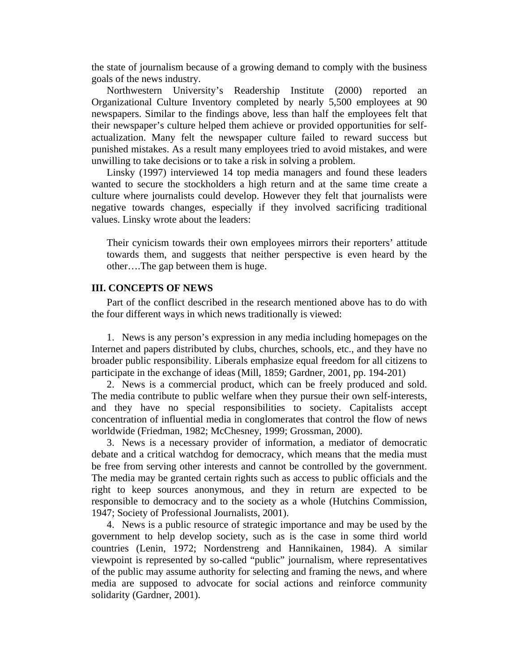the state of journalism because of a growing demand to comply with the business goals of the news industry.

Northwestern University's Readership Institute (2000) reported an Organizational Culture Inventory completed by nearly 5,500 employees at 90 newspapers. Similar to the findings above, less than half the employees felt that their newspaper's culture helped them achieve or provided opportunities for selfactualization. Many felt the newspaper culture failed to reward success but punished mistakes. As a result many employees tried to avoid mistakes, and were unwilling to take decisions or to take a risk in solving a problem.

Linsky (1997) interviewed 14 top media managers and found these leaders wanted to secure the stockholders a high return and at the same time create a culture where journalists could develop. However they felt that journalists were negative towards changes, especially if they involved sacrificing traditional values. Linsky wrote about the leaders:

Their cynicism towards their own employees mirrors their reporters' attitude towards them, and suggests that neither perspective is even heard by the other….The gap between them is huge.

#### **III. CONCEPTS OF NEWS**

Part of the conflict described in the research mentioned above has to do with the four different ways in which news traditionally is viewed:

1. News is any person's expression in any media including homepages on the Internet and papers distributed by clubs, churches, schools, etc., and they have no broader public responsibility. Liberals emphasize equal freedom for all citizens to participate in the exchange of ideas (Mill, 1859; Gardner, 2001, pp. 194-201)

2. News is a commercial product, which can be freely produced and sold. The media contribute to public welfare when they pursue their own self-interests, and they have no special responsibilities to society. Capitalists accept concentration of influential media in conglomerates that control the flow of news worldwide (Friedman, 1982; McChesney, 1999; Grossman, 2000).

3. News is a necessary provider of information, a mediator of democratic debate and a critical watchdog for democracy, which means that the media must be free from serving other interests and cannot be controlled by the government. The media may be granted certain rights such as access to public officials and the right to keep sources anonymous, and they in return are expected to be responsible to democracy and to the society as a whole (Hutchins Commission, 1947; Society of Professional Journalists, 2001).

4. News is a public resource of strategic importance and may be used by the government to help develop society, such as is the case in some third world countries (Lenin, 1972; Nordenstreng and Hannikainen, 1984). A similar viewpoint is represented by so-called "public" journalism, where representatives of the public may assume authority for selecting and framing the news, and where media are supposed to advocate for social actions and reinforce community solidarity (Gardner, 2001).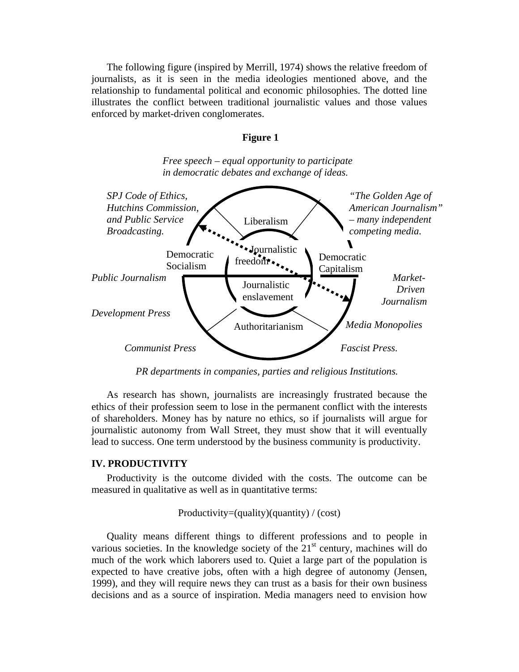The following figure (inspired by Merrill, 1974) shows the relative freedom of journalists, as it is seen in the media ideologies mentioned above, and the relationship to fundamental political and economic philosophies. The dotted line illustrates the conflict between traditional journalistic values and those values enforced by market-driven conglomerates.

## **Figure 1**

 *Free speech – equal opportunity to participate in democratic debates and exchange of ideas.*



*PR departments in companies, parties and religious Institutions.* 

As research has shown, journalists are increasingly frustrated because the ethics of their profession seem to lose in the permanent conflict with the interests of shareholders. Money has by nature no ethics, so if journalists will argue for journalistic autonomy from Wall Street, they must show that it will eventually lead to success. One term understood by the business community is productivity.

## **IV. PRODUCTIVITY**

Productivity is the outcome divided with the costs. The outcome can be measured in qualitative as well as in quantitative terms:

## Productivity=(quality)(quantity) / (cost)

Quality means different things to different professions and to people in various societies. In the knowledge society of the  $21<sup>st</sup>$  century, machines will do much of the work which laborers used to. Quiet a large part of the population is expected to have creative jobs, often with a high degree of autonomy (Jensen, 1999), and they will require news they can trust as a basis for their own business decisions and as a source of inspiration. Media managers need to envision how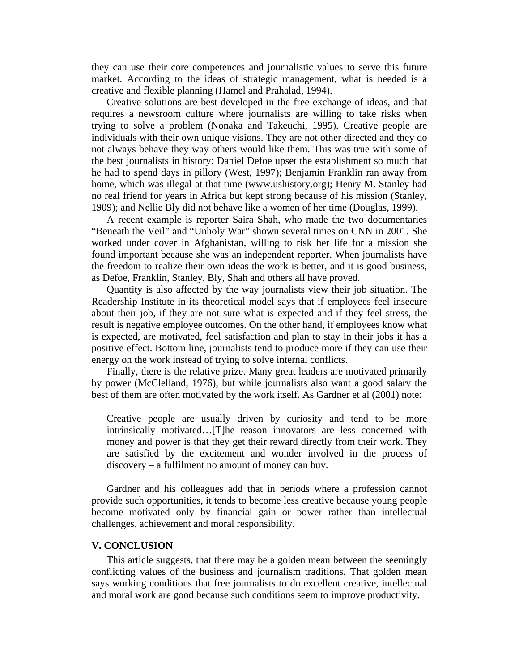they can use their core competences and journalistic values to serve this future market. According to the ideas of strategic management, what is needed is a creative and flexible planning (Hamel and Prahalad, 1994).

Creative solutions are best developed in the free exchange of ideas, and that requires a newsroom culture where journalists are willing to take risks when trying to solve a problem (Nonaka and Takeuchi, 1995). Creative people are individuals with their own unique visions. They are not other directed and they do not always behave they way others would like them. This was true with some of the best journalists in history: Daniel Defoe upset the establishment so much that he had to spend days in pillory (West, 1997); Benjamin Franklin ran away from home, which was illegal at that time (www.ushistory.org); Henry M. Stanley had no real friend for years in Africa but kept strong because of his mission (Stanley, 1909); and Nellie Bly did not behave like a women of her time (Douglas, 1999).

A recent example is reporter Saira Shah, who made the two documentaries "Beneath the Veil" and "Unholy War" shown several times on CNN in 2001. She worked under cover in Afghanistan, willing to risk her life for a mission she found important because she was an independent reporter. When journalists have the freedom to realize their own ideas the work is better, and it is good business, as Defoe, Franklin, Stanley, Bly, Shah and others all have proved.

Quantity is also affected by the way journalists view their job situation. The Readership Institute in its theoretical model says that if employees feel insecure about their job, if they are not sure what is expected and if they feel stress, the result is negative employee outcomes. On the other hand, if employees know what is expected, are motivated, feel satisfaction and plan to stay in their jobs it has a positive effect. Bottom line, journalists tend to produce more if they can use their energy on the work instead of trying to solve internal conflicts.

Finally, there is the relative prize. Many great leaders are motivated primarily by power (McClelland, 1976), but while journalists also want a good salary the best of them are often motivated by the work itself. As Gardner et al (2001) note:

Creative people are usually driven by curiosity and tend to be more intrinsically motivated…[T]he reason innovators are less concerned with money and power is that they get their reward directly from their work. They are satisfied by the excitement and wonder involved in the process of discovery – a fulfilment no amount of money can buy.

Gardner and his colleagues add that in periods where a profession cannot provide such opportunities, it tends to become less creative because young people become motivated only by financial gain or power rather than intellectual challenges, achievement and moral responsibility.

## **V. CONCLUSION**

This article suggests, that there may be a golden mean between the seemingly conflicting values of the business and journalism traditions. That golden mean says working conditions that free journalists to do excellent creative, intellectual and moral work are good because such conditions seem to improve productivity.